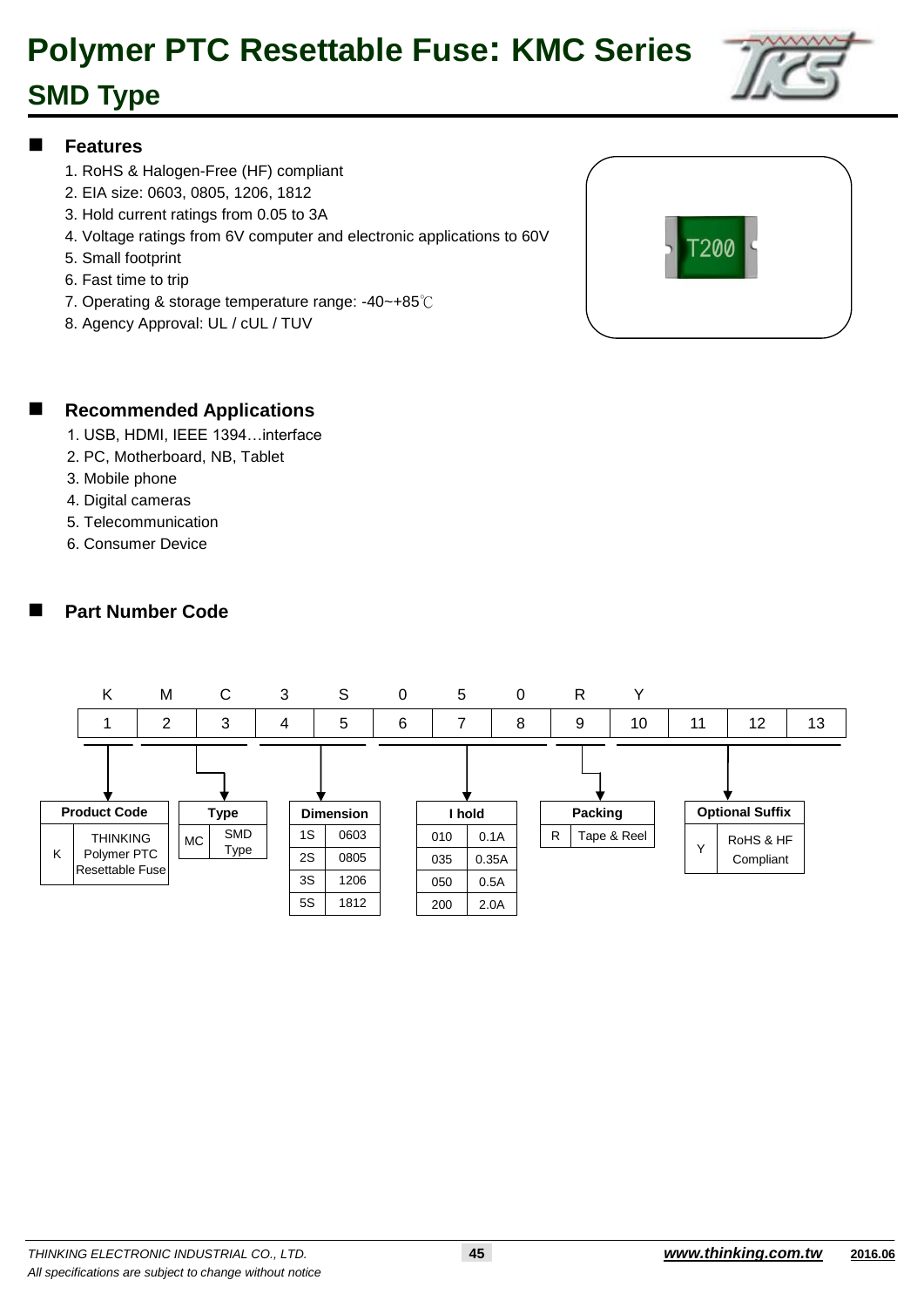### **SMD Type**



#### **Features**

- 1. RoHS & Halogen-Free (HF) compliant
- 2. EIA size: 0603, 0805, 1206, 1812
- 3. Hold current ratings from 0.05 to 3A
- 4. Voltage ratings from 6V computer and electronic applications to 60V
- 5. Small footprint
- 6. Fast time to trip
- 7. Operating & storage temperature range: -40~+85℃
- 8. Agency Approval: UL / cUL / TUV



#### **Recommended Applications**

- 1. USB, HDMI, IEEE 1394…interface
- 2. PC, Motherboard, NB, Tablet
- 3. Mobile phone
- 4. Digital cameras
- 5. Telecommunication
- 6. Consumer Device

#### **Part Number Code**

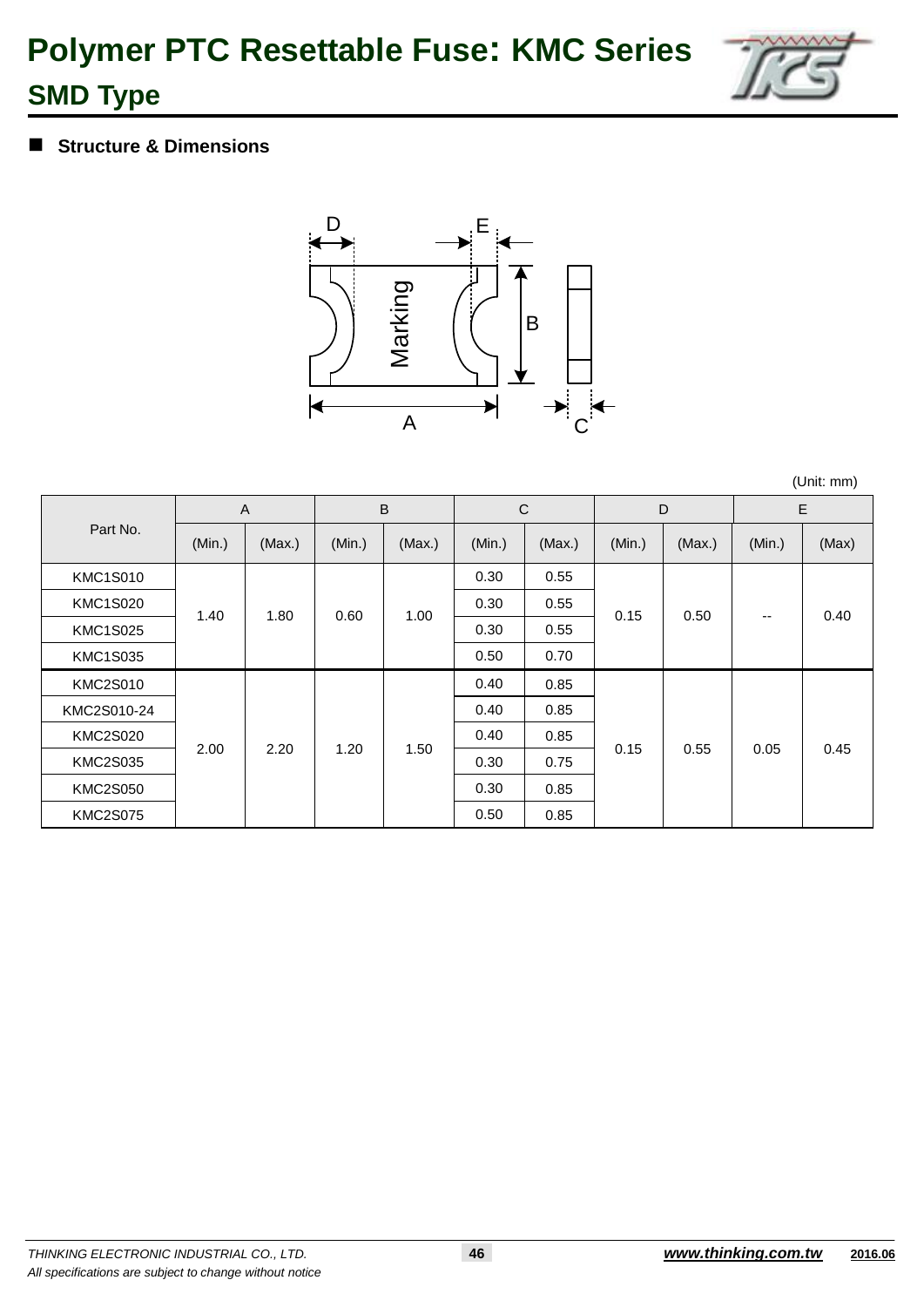

### **Structure & Dimensions**



(Unit: mm)

|                 |        | A      |        | B      | $\mathsf{C}$ |        |        | D      |        | E     |
|-----------------|--------|--------|--------|--------|--------------|--------|--------|--------|--------|-------|
| Part No.        | (Min.) | (Max.) | (Min.) | (Max.) | (Min.)       | (Max.) | (Min.) | (Max.) | (Min.) | (Max) |
| <b>KMC1S010</b> |        |        |        |        | 0.30         | 0.55   |        |        |        |       |
| <b>KMC1S020</b> | 1.40   | 1.80   | 0.60   | 1.00   | 0.30         | 0.55   | 0.15   | 0.50   | --     | 0.40  |
| <b>KMC1S025</b> |        |        |        |        | 0.30         | 0.55   |        |        |        |       |
| <b>KMC1S035</b> |        |        |        |        | 0.50         | 0.70   |        |        |        |       |
| <b>KMC2S010</b> |        |        |        |        | 0.40         | 0.85   |        |        |        |       |
| KMC2S010-24     |        |        |        |        | 0.40         | 0.85   |        |        |        |       |
| <b>KMC2S020</b> | 2.00   | 2.20   | 1.20   | 1.50   | 0.40         | 0.85   | 0.15   | 0.55   | 0.05   | 0.45  |
| <b>KMC2S035</b> |        |        |        |        | 0.30         | 0.75   |        |        |        |       |
| <b>KMC2S050</b> |        |        |        |        | 0.30         | 0.85   |        |        |        |       |
| <b>KMC2S075</b> |        |        |        |        | 0.50         | 0.85   |        |        |        |       |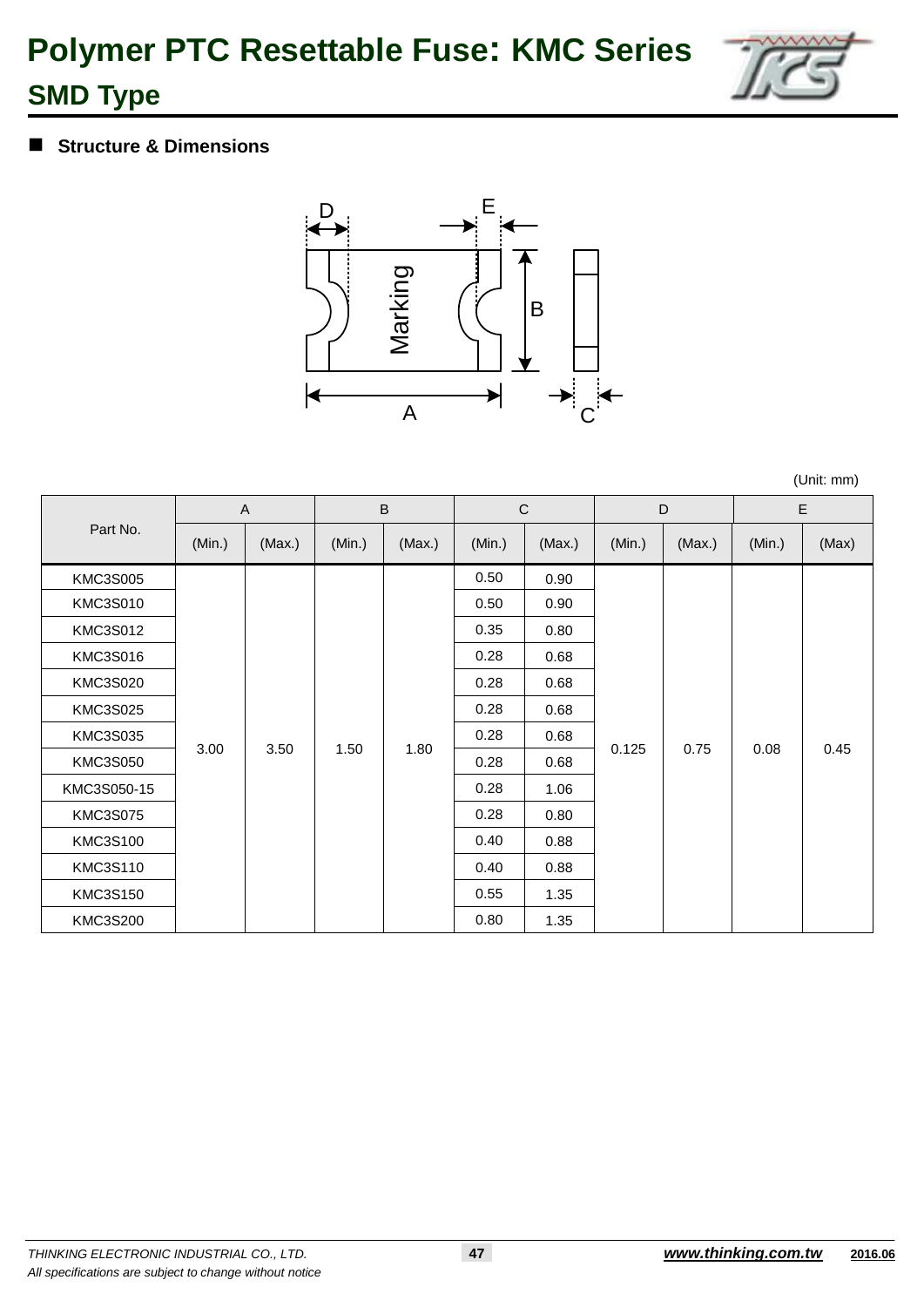

### **Structure & Dimensions**



(Unit: mm)

|                 | A      |        |        | $\sf{B}$ | $\mathsf C$ |        |        | D      |        | E     |
|-----------------|--------|--------|--------|----------|-------------|--------|--------|--------|--------|-------|
| Part No.        | (Min.) | (Max.) | (Min.) | (Max.)   | (Min.)      | (Max.) | (Min.) | (Max.) | (Min.) | (Max) |
| <b>KMC3S005</b> |        |        |        |          | 0.50        | 0.90   |        |        |        |       |
| <b>KMC3S010</b> |        |        |        |          | 0.50        | 0.90   |        |        |        |       |
| <b>KMC3S012</b> |        |        |        |          | 0.35        | 0.80   |        |        |        |       |
| <b>KMC3S016</b> |        |        |        |          | 0.28        | 0.68   |        |        |        |       |
| <b>KMC3S020</b> |        |        |        |          | 0.28        | 0.68   |        |        |        |       |
| <b>KMC3S025</b> |        |        |        |          | 0.28        | 0.68   |        |        |        |       |
| <b>KMC3S035</b> |        |        |        |          | 0.28        | 0.68   |        |        |        |       |
| <b>KMC3S050</b> | 3.00   | 3.50   | 1.50   | 1.80     | 0.28        | 0.68   | 0.125  | 0.75   | 0.08   | 0.45  |
| KMC3S050-15     |        |        |        |          | 0.28        | 1.06   |        |        |        |       |
| <b>KMC3S075</b> |        |        |        |          | 0.28        | 0.80   |        |        |        |       |
| <b>KMC3S100</b> |        |        |        |          | 0.40        | 0.88   |        |        |        |       |
| <b>KMC3S110</b> |        |        |        |          | 0.40        | 0.88   |        |        |        |       |
| KMC3S150        |        |        |        |          | 0.55        | 1.35   |        |        |        |       |
| <b>KMC3S200</b> |        |        |        |          | 0.80        | 1.35   |        |        |        |       |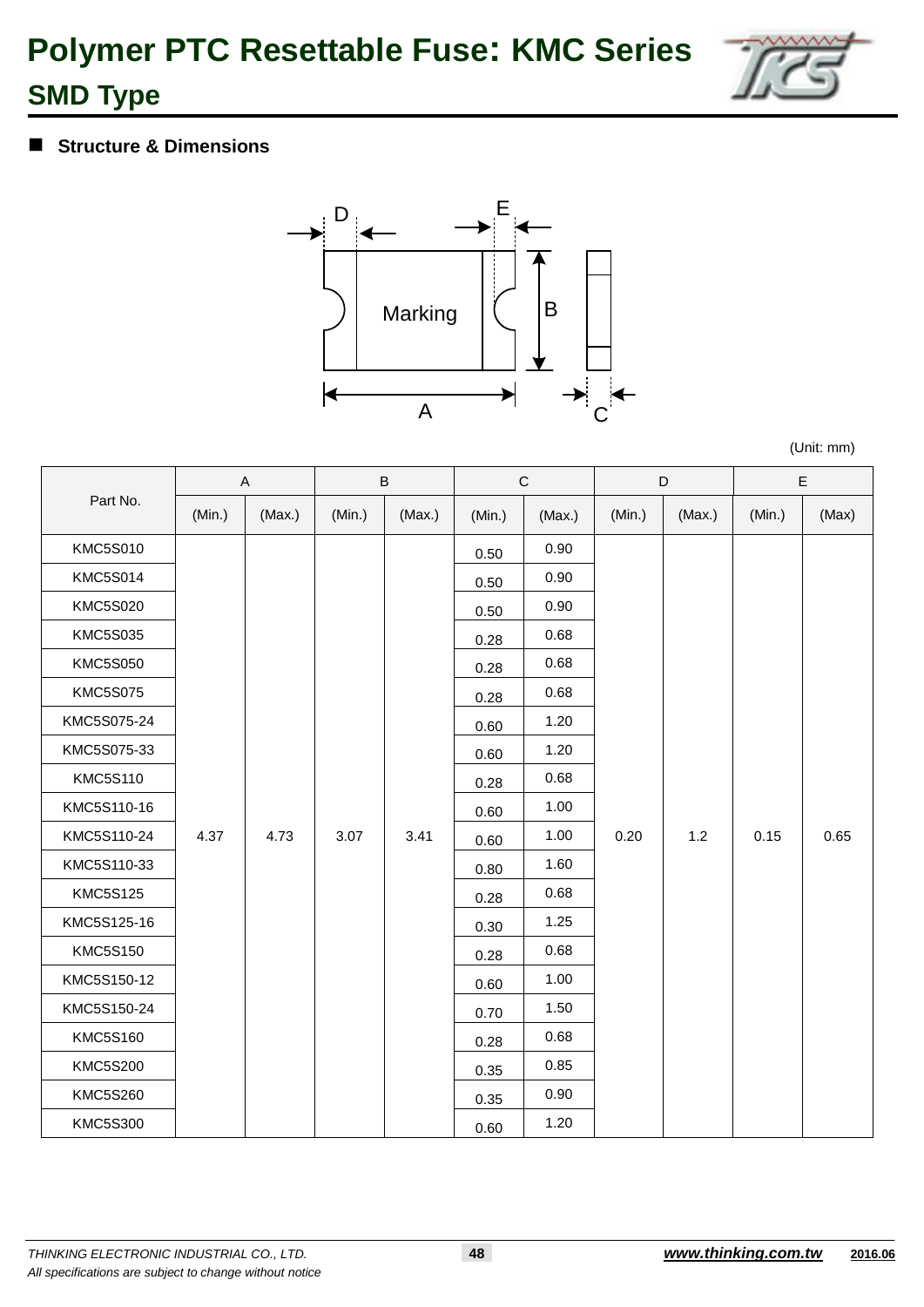

### **Structure & Dimensions**



(Unit: mm)

|                 |        | A      |        | $\sf B$ |        | $\mathbf C$ |        | D      |        | E     |
|-----------------|--------|--------|--------|---------|--------|-------------|--------|--------|--------|-------|
| Part No.        | (Min.) | (Max.) | (Min.) | (Max.)  | (Min.) | (Max.)      | (Min.) | (Max.) | (Min.) | (Max) |
| <b>KMC5S010</b> |        |        |        |         | 0.50   | 0.90        |        |        |        |       |
| <b>KMC5S014</b> |        |        |        |         | 0.50   | 0.90        |        |        |        |       |
| <b>KMC5S020</b> |        |        |        |         | 0.50   | 0.90        |        |        |        |       |
| <b>KMC5S035</b> |        |        |        |         | 0.28   | 0.68        |        |        |        |       |
| <b>KMC5S050</b> |        |        |        |         | 0.28   | 0.68        |        |        |        |       |
| <b>KMC5S075</b> |        |        |        |         | 0.28   | 0.68        |        |        |        |       |
| KMC5S075-24     |        |        |        |         | 0.60   | 1.20        |        |        |        |       |
| KMC5S075-33     |        |        |        |         | 0.60   | 1.20        |        |        |        |       |
| <b>KMC5S110</b> |        |        |        |         | 0.28   | 0.68        |        |        |        |       |
| KMC5S110-16     |        |        |        |         | 0.60   | 1.00        |        |        |        |       |
| KMC5S110-24     | 4.37   | 4.73   | 3.07   | 3.41    | 0.60   | 1.00        | 0.20   | 1.2    | 0.15   | 0.65  |
| KMC5S110-33     |        |        |        |         | 0.80   | 1.60        |        |        |        |       |
| <b>KMC5S125</b> |        |        |        |         | 0.28   | 0.68        |        |        |        |       |
| KMC5S125-16     |        |        |        |         | 0.30   | 1.25        |        |        |        |       |
| <b>KMC5S150</b> |        |        |        |         | 0.28   | 0.68        |        |        |        |       |
| KMC5S150-12     |        |        |        |         | 0.60   | 1.00        |        |        |        |       |
| KMC5S150-24     |        |        |        |         | 0.70   | 1.50        |        |        |        |       |
| <b>KMC5S160</b> |        |        |        |         | 0.28   | 0.68        |        |        |        |       |
| <b>KMC5S200</b> |        |        |        |         | 0.35   | 0.85        |        |        |        |       |
| <b>KMC5S260</b> |        |        |        |         | 0.35   | 0.90        |        |        |        |       |
| <b>KMC5S300</b> |        |        |        |         | 0.60   | 1.20        |        |        |        |       |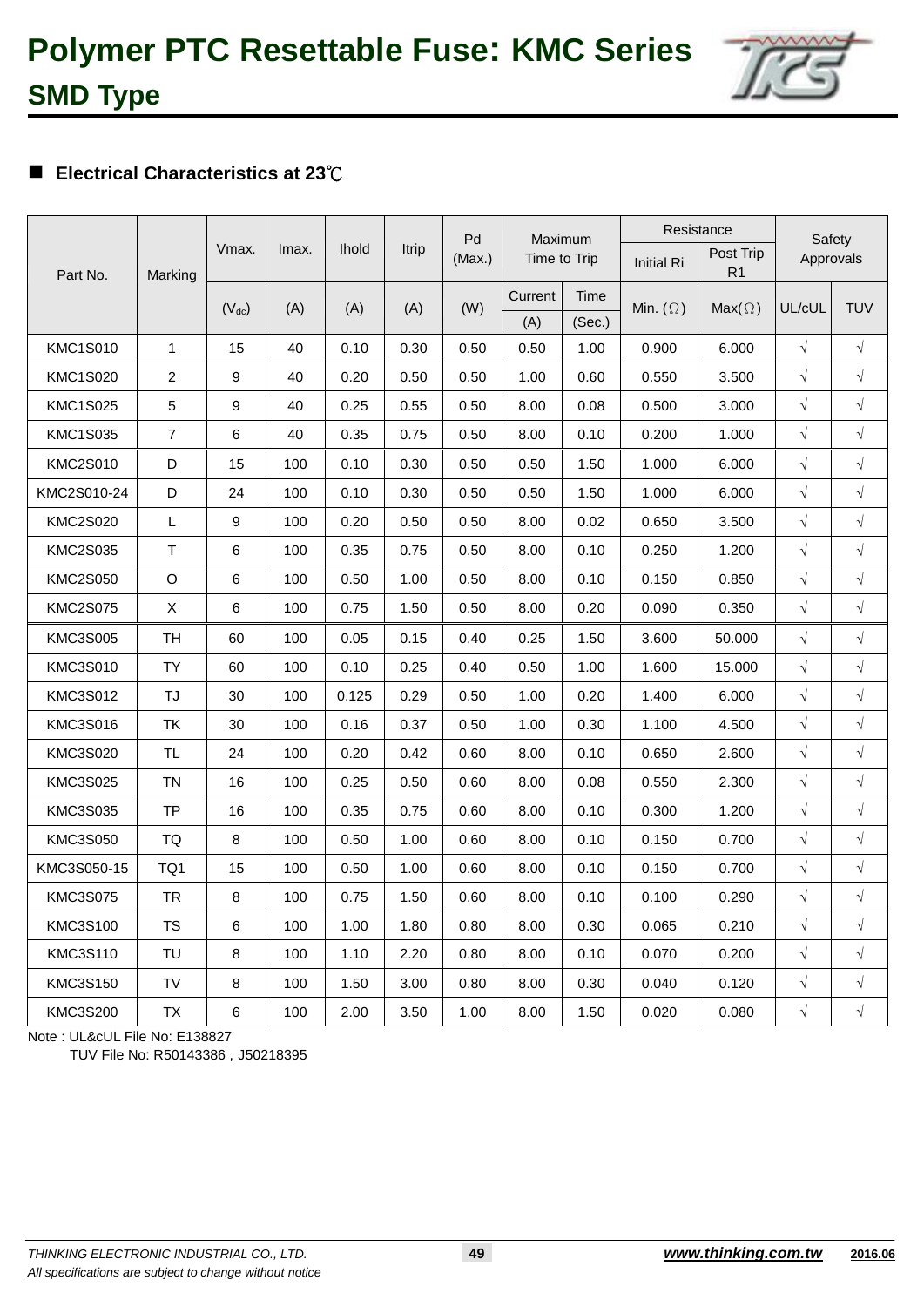### **Electrical Characteristics at 23**℃

|                 |                |            |       |              |       | Pd     | Maximum      |        | Resistance        |                             | Safety     |            |
|-----------------|----------------|------------|-------|--------------|-------|--------|--------------|--------|-------------------|-----------------------------|------------|------------|
| Part No.        | Marking        | Vmax.      | Imax. | <b>Ihold</b> | Itrip | (Max.) | Time to Trip |        | <b>Initial Ri</b> | Post Trip<br>R <sub>1</sub> | Approvals  |            |
|                 |                | $(V_{dc})$ | (A)   | (A)          | (A)   | (W)    | Current      | Time   | Min. $(\Omega)$   | $Max(\Omega)$               | UL/cUL     | <b>TUV</b> |
|                 |                |            |       |              |       |        | (A)          | (Sec.) |                   |                             |            |            |
| <b>KMC1S010</b> | $\mathbf{1}$   | 15         | 40    | 0.10         | 0.30  | 0.50   | 0.50         | 1.00   | 0.900             | 6.000                       | $\sqrt{ }$ | $\sqrt{}$  |
| <b>KMC1S020</b> | $\overline{c}$ | 9          | 40    | 0.20         | 0.50  | 0.50   | 1.00         | 0.60   | 0.550             | 3.500                       | $\sqrt{ }$ | $\sqrt{}$  |
| <b>KMC1S025</b> | 5              | 9          | 40    | 0.25         | 0.55  | 0.50   | 8.00         | 0.08   | 0.500             | 3.000                       | $\sqrt{ }$ | $\sqrt{}$  |
| <b>KMC1S035</b> | $\overline{7}$ | 6          | 40    | 0.35         | 0.75  | 0.50   | 8.00         | 0.10   | 0.200             | 1.000                       | $\sqrt{ }$ | $\sqrt{ }$ |
| <b>KMC2S010</b> | D              | 15         | 100   | 0.10         | 0.30  | 0.50   | 0.50         | 1.50   | 1.000             | 6.000                       | $\sqrt{ }$ | $\sqrt{ }$ |
| KMC2S010-24     | D              | 24         | 100   | 0.10         | 0.30  | 0.50   | 0.50         | 1.50   | 1.000             | 6.000                       | $\sqrt{ }$ | $\sqrt{}$  |
| <b>KMC2S020</b> | L              | 9          | 100   | 0.20         | 0.50  | 0.50   | 8.00         | 0.02   | 0.650             | 3.500                       | $\sqrt{ }$ | $\sqrt{}$  |
| <b>KMC2S035</b> | $\mathsf T$    | 6          | 100   | 0.35         | 0.75  | 0.50   | 8.00         | 0.10   | 0.250             | 1.200                       | $\sqrt{ }$ | $\sqrt{ }$ |
| <b>KMC2S050</b> | O              | 6          | 100   | 0.50         | 1.00  | 0.50   | 8.00         | 0.10   | 0.150             | 0.850                       | $\sqrt{ }$ | $\sqrt{}$  |
| <b>KMC2S075</b> | X              | 6          | 100   | 0.75         | 1.50  | 0.50   | 8.00         | 0.20   | 0.090             | 0.350                       | $\sqrt{ }$ | $\sqrt{}$  |
| <b>KMC3S005</b> | <b>TH</b>      | 60         | 100   | 0.05         | 0.15  | 0.40   | 0.25         | 1.50   | 3.600             | 50.000                      | $\sqrt{ }$ | $\sqrt{}$  |
| KMC3S010        | TY             | 60         | 100   | 0.10         | 0.25  | 0.40   | 0.50         | 1.00   | 1.600             | 15.000                      | $\sqrt{ }$ | $\sqrt{}$  |
| <b>KMC3S012</b> | TJ             | 30         | 100   | 0.125        | 0.29  | 0.50   | 1.00         | 0.20   | 1.400             | 6.000                       | $\sqrt{ }$ | $\sqrt{}$  |
| <b>KMC3S016</b> | <b>TK</b>      | 30         | 100   | 0.16         | 0.37  | 0.50   | 1.00         | 0.30   | 1.100             | 4.500                       | $\sqrt{ }$ | $\sqrt{ }$ |
| <b>KMC3S020</b> | <b>TL</b>      | 24         | 100   | 0.20         | 0.42  | 0.60   | 8.00         | 0.10   | 0.650             | 2.600                       | $\sqrt{ }$ | $\sqrt{}$  |
| <b>KMC3S025</b> | <b>TN</b>      | 16         | 100   | 0.25         | 0.50  | 0.60   | 8.00         | 0.08   | 0.550             | 2.300                       | $\sqrt{ }$ | $\sqrt{}$  |
| <b>KMC3S035</b> | <b>TP</b>      | 16         | 100   | 0.35         | 0.75  | 0.60   | 8.00         | 0.10   | 0.300             | 1.200                       | $\sqrt{ }$ | $\sqrt{}$  |
| <b>KMC3S050</b> | TQ             | 8          | 100   | 0.50         | 1.00  | 0.60   | 8.00         | 0.10   | 0.150             | 0.700                       | $\sqrt{ }$ | $\sqrt{}$  |
| KMC3S050-15     | TQ1            | 15         | 100   | 0.50         | 1.00  | 0.60   | 8.00         | 0.10   | 0.150             | 0.700                       | $\sqrt{ }$ | $\sqrt{}$  |
| <b>KMC3S075</b> | <b>TR</b>      | 8          | 100   | 0.75         | 1.50  | 0.60   | 8.00         | 0.10   | 0.100             | 0.290                       | $\sqrt{ }$ | $\sqrt{}$  |
| <b>KMC3S100</b> | TS             | 6          | 100   | 1.00         | 1.80  | 0.80   | 8.00         | 0.30   | 0.065             | 0.210                       | $\sqrt{ }$ | $\sqrt{}$  |
| <b>KMC3S110</b> | TU             | 8          | 100   | 1.10         | 2.20  | 0.80   | 8.00         | 0.10   | 0.070             | 0.200                       | $\sqrt{ }$ | $\sqrt{}$  |
| <b>KMC3S150</b> | TV             | 8          | 100   | 1.50         | 3.00  | 0.80   | 8.00         | 0.30   | 0.040             | 0.120                       | $\sqrt{ }$ | $\sqrt{}$  |
| <b>KMC3S200</b> | TX             | 6          | 100   | 2.00         | 3.50  | 1.00   | 8.00         | 1.50   | 0.020             | 0.080                       | $\sqrt{ }$ | $\sqrt{}$  |

Note : UL&cUL File No: E138827

TUV File No: R50143386 , J50218395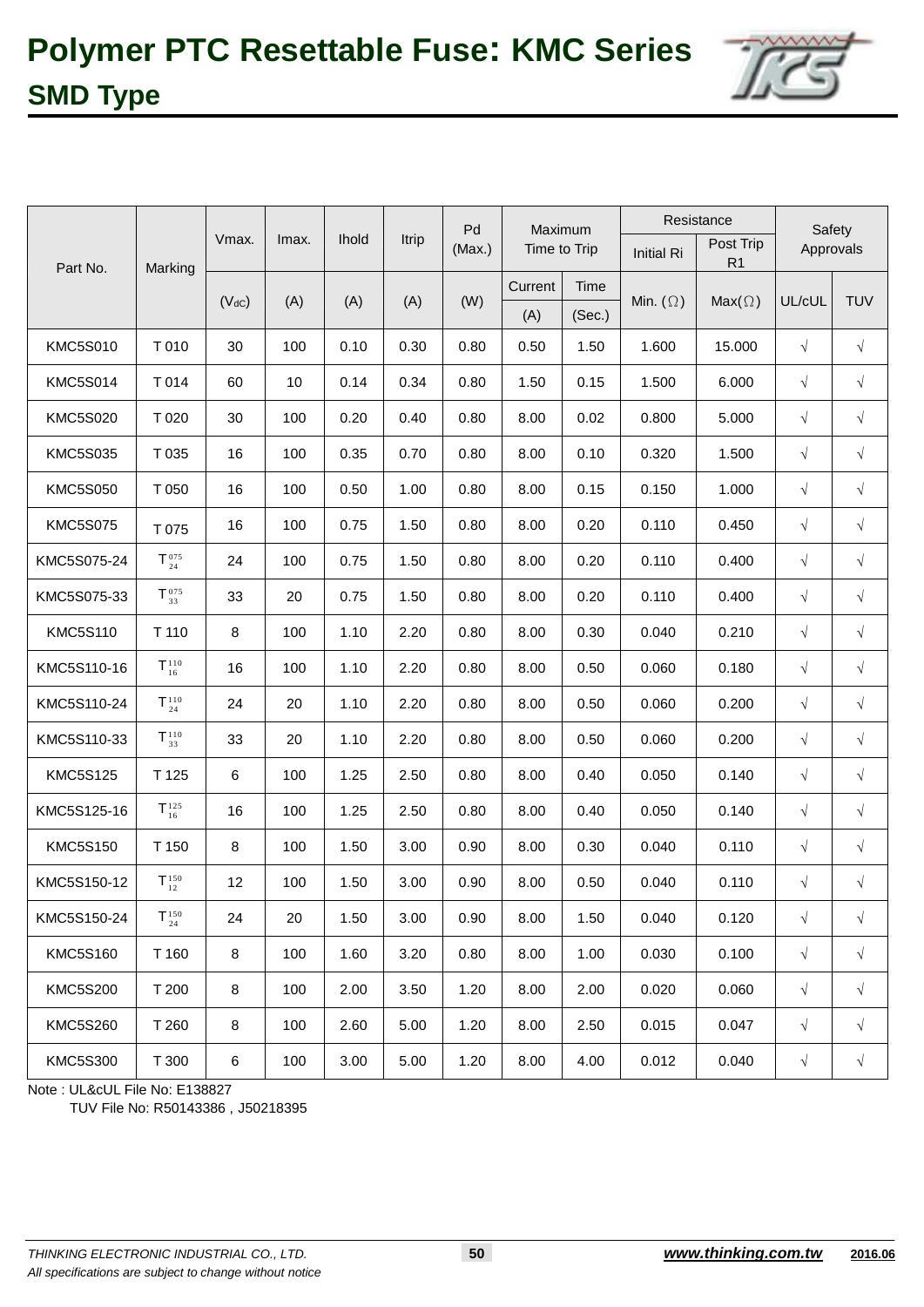

|                 |                                                                |            |       |              |       | Pd     | Maximum      |        |                   | Resistance                  | Safety     |            |
|-----------------|----------------------------------------------------------------|------------|-------|--------------|-------|--------|--------------|--------|-------------------|-----------------------------|------------|------------|
| Part No.        | Marking                                                        | Vmax.      | Imax. | <b>Ihold</b> | Itrip | (Max.) | Time to Trip |        | <b>Initial Ri</b> | Post Trip<br>R <sub>1</sub> | Approvals  |            |
|                 |                                                                | $(V_{dC})$ |       | (A)          | (A)   | (W)    | Current      | Time   | Min. $(\Omega)$   | $Max(\Omega)$               | UL/cUL     | <b>TUV</b> |
|                 |                                                                |            | (A)   |              |       |        | (A)          | (Sec.) |                   |                             |            |            |
| <b>KMC5S010</b> | T010                                                           | 30         | 100   | 0.10         | 0.30  | 0.80   | 0.50         | 1.50   | 1.600             | 15.000                      | $\sqrt{}$  | $\sqrt{ }$ |
| <b>KMC5S014</b> | T 014                                                          | 60         | 10    | 0.14         | 0.34  | 0.80   | 1.50         | 0.15   | 1.500             | 6.000                       | $\sqrt{ }$ | $\sqrt{}$  |
| <b>KMC5S020</b> | T 020                                                          | 30         | 100   | 0.20         | 0.40  | 0.80   | 8.00         | 0.02   | 0.800             | 5.000                       | $\sqrt{}$  | $\sqrt{}$  |
| <b>KMC5S035</b> | T 035                                                          | 16         | 100   | 0.35         | 0.70  | 0.80   | 8.00         | 0.10   | 0.320             | 1.500                       | $\sqrt{ }$ | $\sqrt{}$  |
| <b>KMC5S050</b> | T 050                                                          | 16         | 100   | 0.50         | 1.00  | 0.80   | 8.00         | 0.15   | 0.150             | 1.000                       | $\sqrt{ }$ | $\sqrt{ }$ |
| <b>KMC5S075</b> | T 075                                                          | 16         | 100   | 0.75         | 1.50  | 0.80   | 8.00         | 0.20   | 0.110             | 0.450                       | $\sqrt{ }$ | $\sqrt{ }$ |
| KMC5S075-24     | $\mathsf{T}^{\,075}_{\,24}$                                    | 24         | 100   | 0.75         | 1.50  | 0.80   | 8.00         | 0.20   | 0.110             | 0.400                       | $\sqrt{}$  | $\sqrt{}$  |
| KMC5S075-33     | ${\mathsf T}_{\scriptscriptstyle 33}^{\scriptscriptstyle 075}$ | 33         | 20    | 0.75         | 1.50  | 0.80   | 8.00         | 0.20   | 0.110             | 0.400                       | $\sqrt{}$  | $\sqrt{}$  |
| <b>KMC5S110</b> | T 110                                                          | 8          | 100   | 1.10         | 2.20  | 0.80   | 8.00         | 0.30   | 0.040             | 0.210                       | $\sqrt{}$  | $\sqrt{}$  |
| KMC5S110-16     | $\mathsf{T}^{\scriptscriptstyle 110}_{\scriptscriptstyle 16}$  | 16         | 100   | 1.10         | 2.20  | 0.80   | 8.00         | 0.50   | 0.060             | 0.180                       | $\sqrt{ }$ | $\sqrt{}$  |
| KMC5S110-24     | $T_{24}^{110}$                                                 | 24         | 20    | 1.10         | 2.20  | 0.80   | 8.00         | 0.50   | 0.060             | 0.200                       | $\sqrt{ }$ | $\sqrt{ }$ |
| KMC5S110-33     | $T^{110}_{33}$                                                 | 33         | 20    | 1.10         | 2.20  | 0.80   | 8.00         | 0.50   | 0.060             | 0.200                       | $\sqrt{}$  | $\sqrt{ }$ |
| <b>KMC5S125</b> | T 125                                                          | 6          | 100   | 1.25         | 2.50  | 0.80   | 8.00         | 0.40   | 0.050             | 0.140                       | $\sqrt{}$  | $\sqrt{}$  |
| KMC5S125-16     | $\mathsf{T}^{\scriptscriptstyle 125}_{\scriptscriptstyle 16}$  | 16         | 100   | 1.25         | 2.50  | 0.80   | 8.00         | 0.40   | 0.050             | 0.140                       | $\sqrt{}$  | $\sqrt{}$  |
| <b>KMC5S150</b> | T 150                                                          | 8          | 100   | 1.50         | 3.00  | 0.90   | 8.00         | 0.30   | 0.040             | 0.110                       | $\sqrt{}$  | $\sqrt{}$  |
| KMC5S150-12     | $\mathsf{T}^{\scriptscriptstyle 150}_{\scriptscriptstyle 12}$  | 12         | 100   | 1.50         | 3.00  | 0.90   | 8.00         | 0.50   | 0.040             | 0.110                       | $\sqrt{}$  | $\sqrt{ }$ |
| KMC5S150-24     | $T_{24}^{150}$                                                 | 24         | 20    | 1.50         | 3.00  | 0.90   | 8.00         | 1.50   | 0.040             | 0.120                       | $\sqrt{}$  | $\sqrt{}$  |
| <b>KMC5S160</b> | T 160                                                          | 8          | 100   | 1.60         | 3.20  | 0.80   | 8.00         | 1.00   | 0.030             | 0.100                       | $\sqrt{ }$ | $\sqrt{ }$ |
| <b>KMC5S200</b> | T 200                                                          | 8          | 100   | 2.00         | 3.50  | 1.20   | 8.00         | 2.00   | 0.020             | 0.060                       | $\sqrt{ }$ | $\sqrt{}$  |
| <b>KMC5S260</b> | T 260                                                          | 8          | 100   | 2.60         | 5.00  | 1.20   | 8.00         | 2.50   | 0.015             | 0.047                       | $\sqrt{ }$ | $\sqrt{}$  |
| <b>KMC5S300</b> | T 300                                                          | 6          | 100   | 3.00         | 5.00  | 1.20   | 8.00         | 4.00   | 0.012             | 0.040                       | $\sqrt{}$  | $\sqrt{}$  |

Note : UL&cUL File No: E138827

TUV File No: R50143386 , J50218395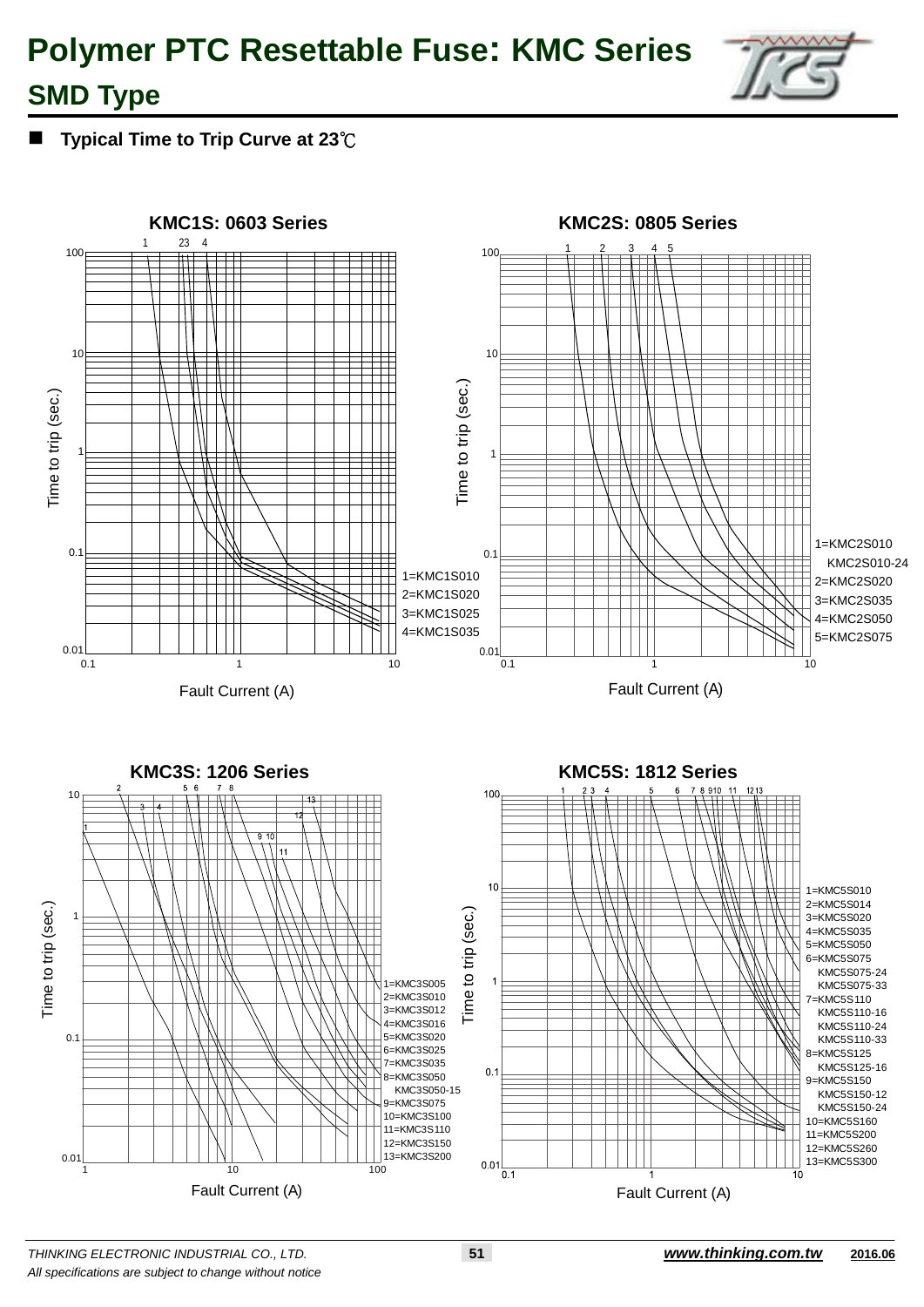

### **SMD Type**

**Typical Time to Trip Curve at 23**℃

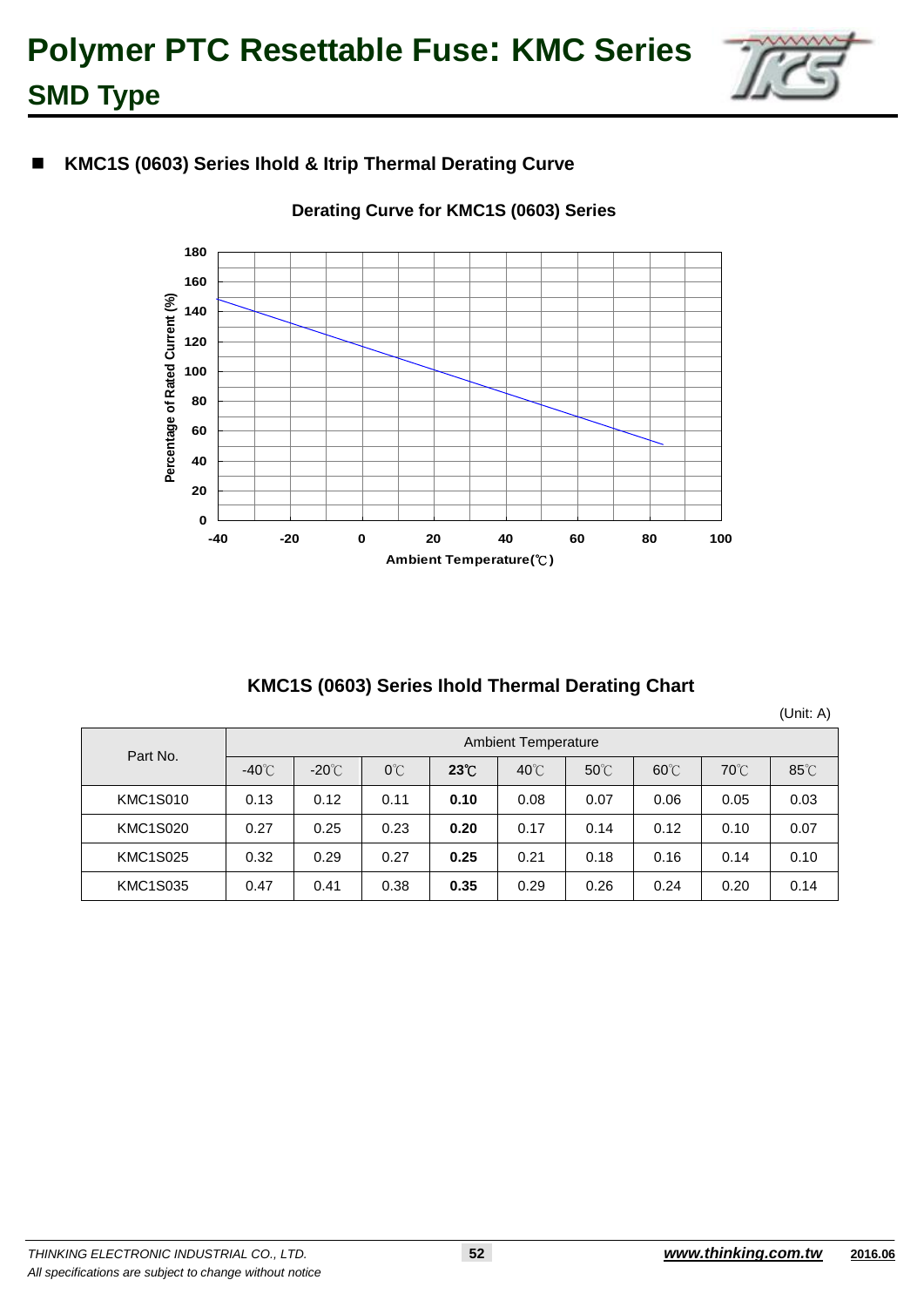

### **KMC1S (0603) Series Ihold & Itrip Thermal Derating Curve**



#### **Derating Curve for KMC1S (0603) Series**

#### **KMC1S (0603) Series Ihold Thermal Derating Chart**

(Unit: A)

| Part No.        | <b>Ambient Temperature</b> |                 |               |              |                |                |                |                |                |  |  |  |
|-----------------|----------------------------|-----------------|---------------|--------------|----------------|----------------|----------------|----------------|----------------|--|--|--|
|                 | $-40^{\circ}$ C            | $-20^{\circ}$ C | $0^{\circ}$ C | $23^\circ$ C | $40^{\circ}$ C | $50^{\circ}$ C | $60^{\circ}$ C | $70^{\circ}$ C | $85^{\circ}$ C |  |  |  |
| <b>KMC1S010</b> | 0.13                       | 0.12            | 0.11          | 0.10         | 0.08           | 0.07           | 0.06           | 0.05           | 0.03           |  |  |  |
| <b>KMC1S020</b> | 0.27                       | 0.25            | 0.23          | 0.20         | 0.17           | 0.14           | 0.12           | 0.10           | 0.07           |  |  |  |
| <b>KMC1S025</b> | 0.32                       | 0.29            | 0.27          | 0.25         | 0.21           | 0.18           | 0.16           | 0.14           | 0.10           |  |  |  |
| <b>KMC1S035</b> | 0.47                       | 0.41            | 0.38          | 0.35         | 0.29           | 0.26           | 0.24           | 0.20           | 0.14           |  |  |  |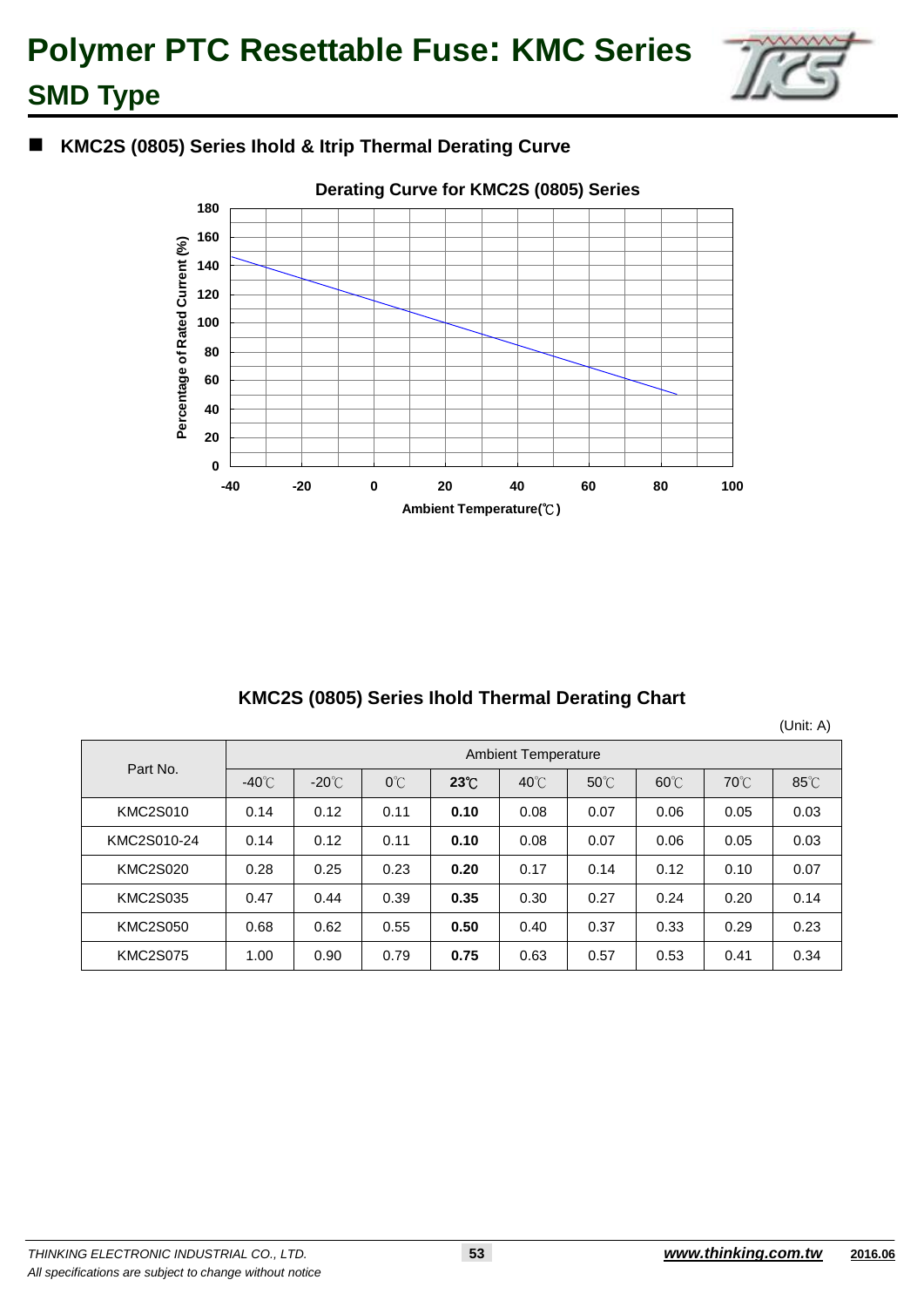

### **KMC2S (0805) Series Ihold & Itrip Thermal Derating Curve**



### **KMC2S (0805) Series Ihold Thermal Derating Chart**

(Unit: A)

| Part No.        | <b>Ambient Temperature</b> |                 |               |                |                |                |                |                |                |  |  |  |
|-----------------|----------------------------|-----------------|---------------|----------------|----------------|----------------|----------------|----------------|----------------|--|--|--|
|                 | $-40^{\circ}$ C            | $-20^{\circ}$ C | $0^{\circ}$ C | $23^{\circ}$ C | $40^{\circ}$ C | $50^{\circ}$ C | $60^{\circ}$ C | $70^{\circ}$ C | $85^{\circ}$ C |  |  |  |
| <b>KMC2S010</b> | 0.14                       | 0.12            | 0.11          | 0.10           | 0.08           | 0.07           | 0.06           | 0.05           | 0.03           |  |  |  |
| KMC2S010-24     | 0.14                       | 0.12            | 0.11          | 0.10           | 0.08           | 0.07           | 0.06           | 0.05           | 0.03           |  |  |  |
| <b>KMC2S020</b> | 0.28                       | 0.25            | 0.23          | 0.20           | 0.17           | 0.14           | 0.12           | 0.10           | 0.07           |  |  |  |
| <b>KMC2S035</b> | 0.47                       | 0.44            | 0.39          | 0.35           | 0.30           | 0.27           | 0.24           | 0.20           | 0.14           |  |  |  |
| <b>KMC2S050</b> | 0.68                       | 0.62            | 0.55          | 0.50           | 0.40           | 0.37           | 0.33           | 0.29           | 0.23           |  |  |  |
| <b>KMC2S075</b> | 1.00                       | 0.90            | 0.79          | 0.75           | 0.63           | 0.57           | 0.53           | 0.41           | 0.34           |  |  |  |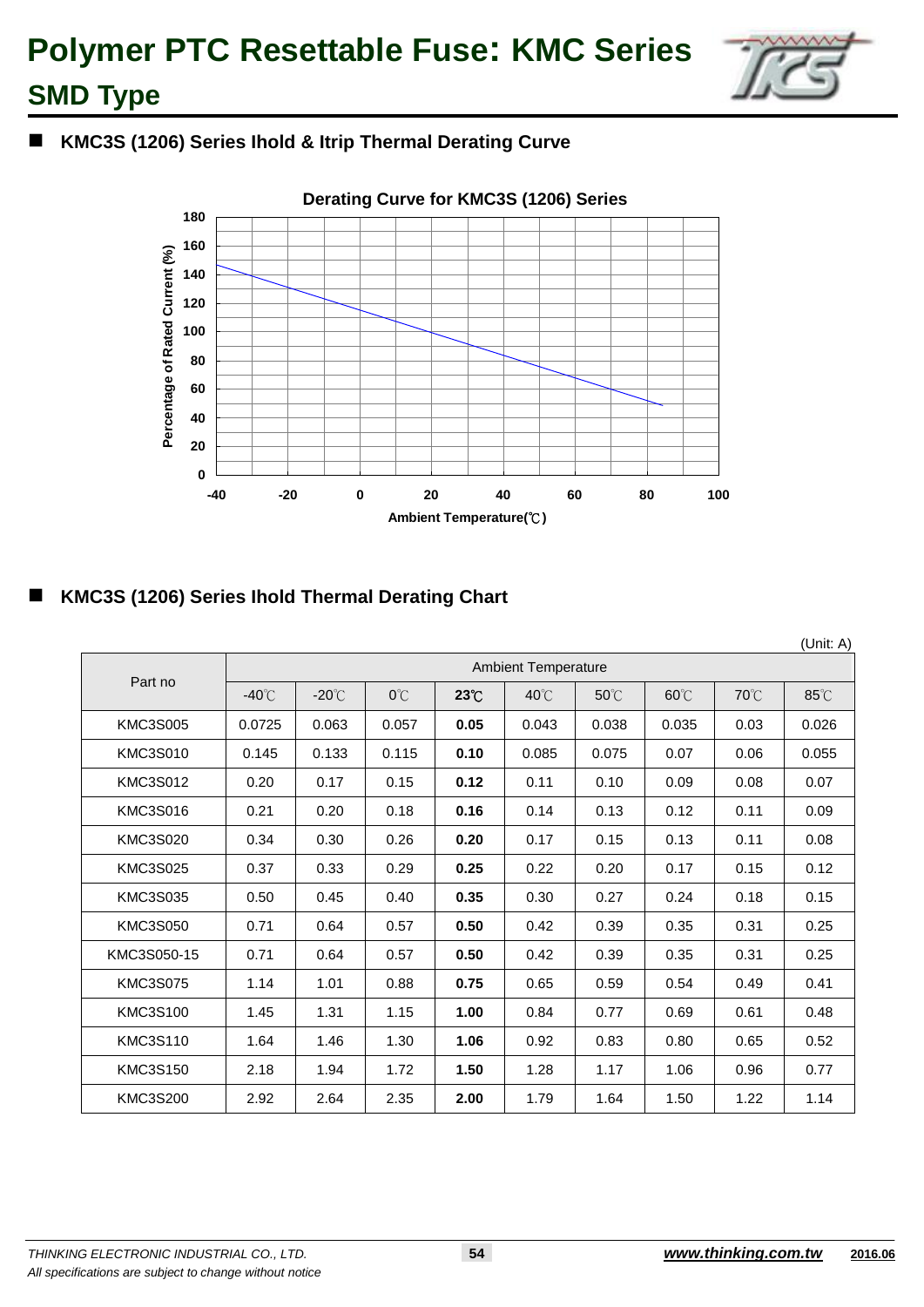

### **KMC3S (1206) Series Ihold & Itrip Thermal Derating Curve**



### **KMC3S (1206) Series Ihold Thermal Derating Chart**

|                 |                 |                 |              |            |                            |                |                |      | (Unit: A) |
|-----------------|-----------------|-----------------|--------------|------------|----------------------------|----------------|----------------|------|-----------|
|                 |                 |                 |              |            | <b>Ambient Temperature</b> |                |                |      |           |
| Part no         | $-40^{\circ}$ C | $-20^{\circ}$ C | $O^{\circ}C$ | $23^\circ$ | $40^{\circ}$ C             | $50^{\circ}$ C | $60^{\circ}$ C | 70°C | 85°C      |
| <b>KMC3S005</b> | 0.0725          | 0.063           | 0.057        | 0.05       | 0.043                      | 0.038          | 0.035          | 0.03 | 0.026     |
| <b>KMC3S010</b> | 0.145           | 0.133           | 0.115        | 0.10       | 0.085                      | 0.075          | 0.07           | 0.06 | 0.055     |
| <b>KMC3S012</b> | 0.20            | 0.17            | 0.15         | 0.12       | 0.11                       | 0.10           | 0.09           | 0.08 | 0.07      |
| <b>KMC3S016</b> | 0.21            | 0.20            | 0.18         | 0.16       | 0.14                       | 0.13           | 0.12           | 0.11 | 0.09      |
| <b>KMC3S020</b> | 0.34            | 0.30            | 0.26         | 0.20       | 0.17                       | 0.15           | 0.13           | 0.11 | 0.08      |
| <b>KMC3S025</b> | 0.37            | 0.33            | 0.29         | 0.25       | 0.22                       | 0.20           | 0.17           | 0.15 | 0.12      |
| <b>KMC3S035</b> | 0.50            | 0.45            | 0.40         | 0.35       | 0.30                       | 0.27           | 0.24           | 0.18 | 0.15      |
| <b>KMC3S050</b> | 0.71            | 0.64            | 0.57         | 0.50       | 0.42                       | 0.39           | 0.35           | 0.31 | 0.25      |
| KMC3S050-15     | 0.71            | 0.64            | 0.57         | 0.50       | 0.42                       | 0.39           | 0.35           | 0.31 | 0.25      |
| <b>KMC3S075</b> | 1.14            | 1.01            | 0.88         | 0.75       | 0.65                       | 0.59           | 0.54           | 0.49 | 0.41      |
| <b>KMC3S100</b> | 1.45            | 1.31            | 1.15         | 1.00       | 0.84                       | 0.77           | 0.69           | 0.61 | 0.48      |
| <b>KMC3S110</b> | 1.64            | 1.46            | 1.30         | 1.06       | 0.92                       | 0.83           | 0.80           | 0.65 | 0.52      |
| <b>KMC3S150</b> | 2.18            | 1.94            | 1.72         | 1.50       | 1.28                       | 1.17           | 1.06           | 0.96 | 0.77      |
| <b>KMC3S200</b> | 2.92            | 2.64            | 2.35         | 2.00       | 1.79                       | 1.64           | 1.50           | 1.22 | 1.14      |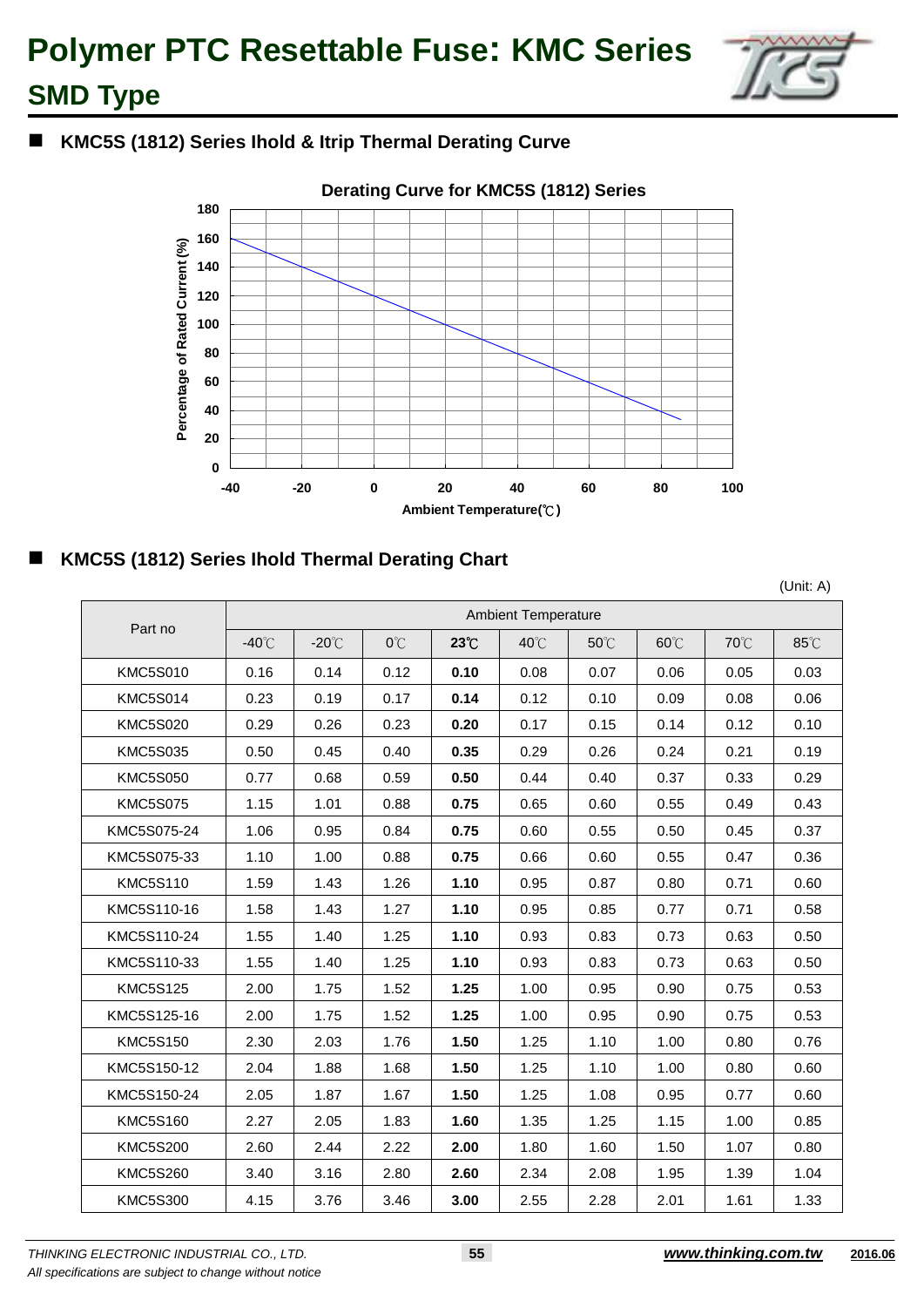

### **KMC5S (1812) Series Ihold & Itrip Thermal Derating Curve**



### **KMC5S (1812) Series Ihold Thermal Derating Chart**

(Unit: A)

|                 |                 | <b>Ambient Temperature</b> |      |              |      |      |                |      |      |  |  |  |
|-----------------|-----------------|----------------------------|------|--------------|------|------|----------------|------|------|--|--|--|
| Part no         | $-40^{\circ}$ C | $-20^{\circ}$ C            | 0°C  | $23^\circ$ C | 40°C | 50°C | $60^{\circ}$ C | 70°C | 85°C |  |  |  |
| <b>KMC5S010</b> | 0.16            | 0.14                       | 0.12 | 0.10         | 0.08 | 0.07 | 0.06           | 0.05 | 0.03 |  |  |  |
| <b>KMC5S014</b> | 0.23            | 0.19                       | 0.17 | 0.14         | 0.12 | 0.10 | 0.09           | 0.08 | 0.06 |  |  |  |
| <b>KMC5S020</b> | 0.29            | 0.26                       | 0.23 | 0.20         | 0.17 | 0.15 | 0.14           | 0.12 | 0.10 |  |  |  |
| <b>KMC5S035</b> | 0.50            | 0.45                       | 0.40 | 0.35         | 0.29 | 0.26 | 0.24           | 0.21 | 0.19 |  |  |  |
| <b>KMC5S050</b> | 0.77            | 0.68                       | 0.59 | 0.50         | 0.44 | 0.40 | 0.37           | 0.33 | 0.29 |  |  |  |
| <b>KMC5S075</b> | 1.15            | 1.01                       | 0.88 | 0.75         | 0.65 | 0.60 | 0.55           | 0.49 | 0.43 |  |  |  |
| KMC5S075-24     | 1.06            | 0.95                       | 0.84 | 0.75         | 0.60 | 0.55 | 0.50           | 0.45 | 0.37 |  |  |  |
| KMC5S075-33     | 1.10            | 1.00                       | 0.88 | 0.75         | 0.66 | 0.60 | 0.55           | 0.47 | 0.36 |  |  |  |
| <b>KMC5S110</b> | 1.59            | 1.43                       | 1.26 | 1.10         | 0.95 | 0.87 | 0.80           | 0.71 | 0.60 |  |  |  |
| KMC5S110-16     | 1.58            | 1.43                       | 1.27 | 1.10         | 0.95 | 0.85 | 0.77           | 0.71 | 0.58 |  |  |  |
| KMC5S110-24     | 1.55            | 1.40                       | 1.25 | 1.10         | 0.93 | 0.83 | 0.73           | 0.63 | 0.50 |  |  |  |
| KMC5S110-33     | 1.55            | 1.40                       | 1.25 | 1.10         | 0.93 | 0.83 | 0.73           | 0.63 | 0.50 |  |  |  |
| <b>KMC5S125</b> | 2.00            | 1.75                       | 1.52 | 1.25         | 1.00 | 0.95 | 0.90           | 0.75 | 0.53 |  |  |  |
| KMC5S125-16     | 2.00            | 1.75                       | 1.52 | 1.25         | 1.00 | 0.95 | 0.90           | 0.75 | 0.53 |  |  |  |
| <b>KMC5S150</b> | 2.30            | 2.03                       | 1.76 | 1.50         | 1.25 | 1.10 | 1.00           | 0.80 | 0.76 |  |  |  |
| KMC5S150-12     | 2.04            | 1.88                       | 1.68 | 1.50         | 1.25 | 1.10 | 1.00           | 0.80 | 0.60 |  |  |  |
| KMC5S150-24     | 2.05            | 1.87                       | 1.67 | 1.50         | 1.25 | 1.08 | 0.95           | 0.77 | 0.60 |  |  |  |
| <b>KMC5S160</b> | 2.27            | 2.05                       | 1.83 | 1.60         | 1.35 | 1.25 | 1.15           | 1.00 | 0.85 |  |  |  |
| <b>KMC5S200</b> | 2.60            | 2.44                       | 2.22 | 2.00         | 1.80 | 1.60 | 1.50           | 1.07 | 0.80 |  |  |  |
| <b>KMC5S260</b> | 3.40            | 3.16                       | 2.80 | 2.60         | 2.34 | 2.08 | 1.95           | 1.39 | 1.04 |  |  |  |
| <b>KMC5S300</b> | 4.15            | 3.76                       | 3.46 | 3.00         | 2.55 | 2.28 | 2.01           | 1.61 | 1.33 |  |  |  |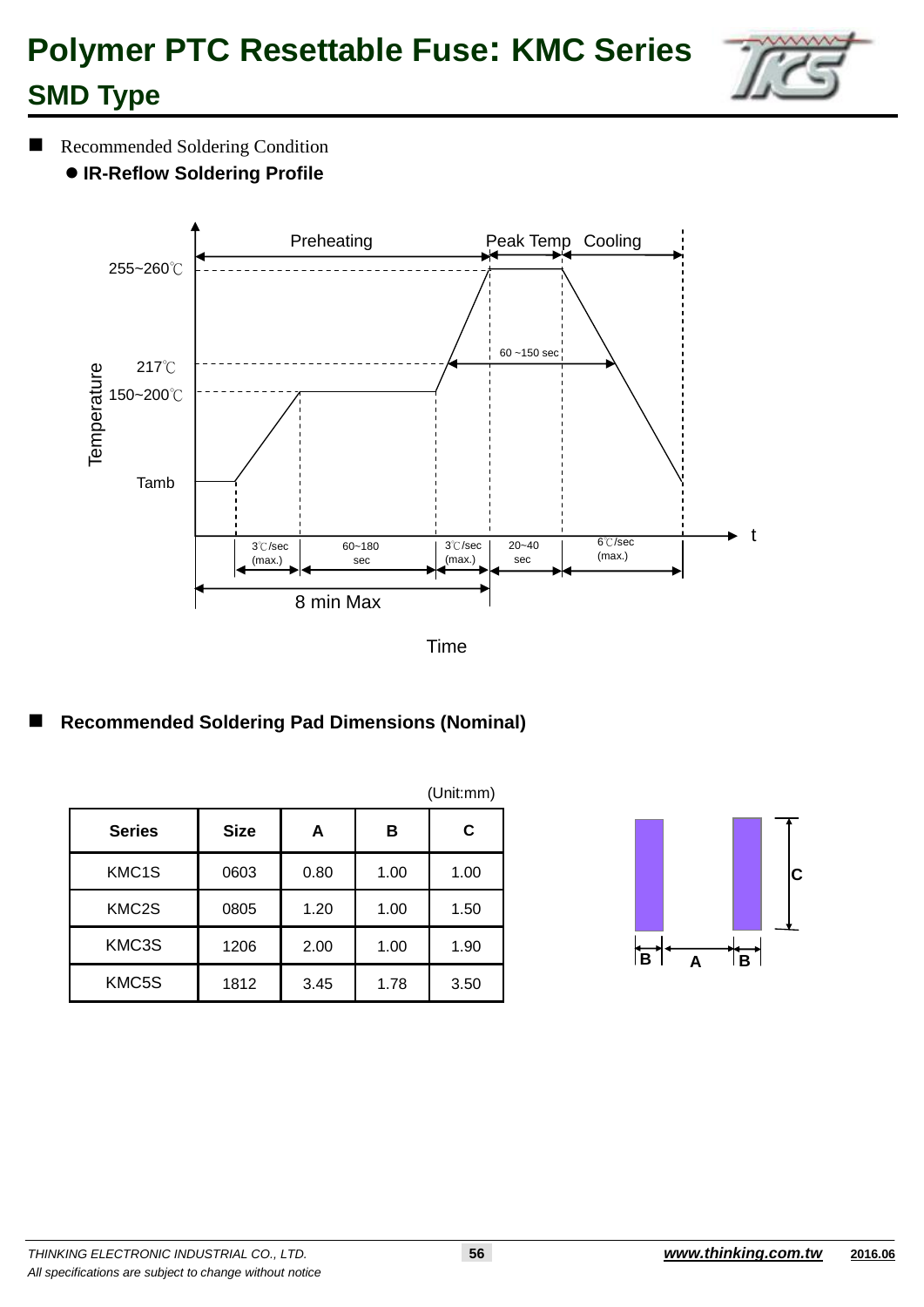

### Recommended Soldering Condition

**IR-Reflow Soldering Profile**





|               |             |      |      | (Unit:mm) |
|---------------|-------------|------|------|-----------|
| <b>Series</b> | <b>Size</b> | A    | в    | C         |
| KMC1S         | 0603        | 0.80 | 1.00 | 1.00      |
| KMC2S         | 0805        | 1.20 | 1.00 | 1.50      |
| KMC3S         | 1206        | 2.00 | 1.00 | 1.90      |
| KMC5S         | 1812        | 3.45 | 1.78 | 3.50      |

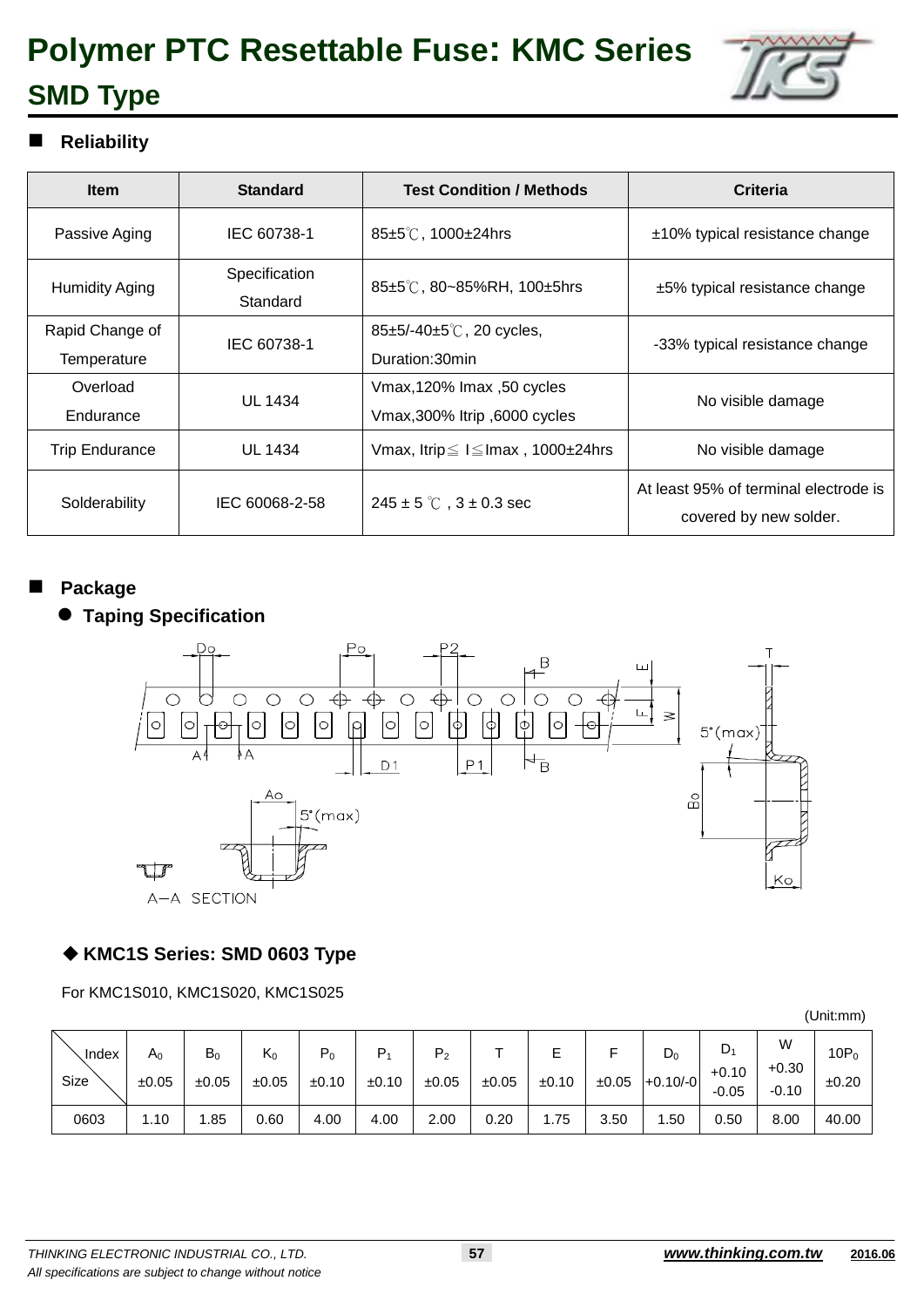

### **Reliability**

| <b>Item</b>                    | <b>Standard</b>           | <b>Test Condition / Methods</b>                            | Criteria                                                        |
|--------------------------------|---------------------------|------------------------------------------------------------|-----------------------------------------------------------------|
| Passive Aging                  | IEC 60738-1               | 85±5℃, 1000±24hrs                                          | $±10\%$ typical resistance change                               |
| Humidity Aging                 | Specification<br>Standard | 85 $\pm$ 5°C, 80~85%RH, 100 $\pm$ 5hrs                     | $±5\%$ typical resistance change                                |
| Rapid Change of<br>Temperature | IEC 60738-1               | $85\pm5/-40\pm5\degree$ C, 20 cycles,<br>Duration:30min    | -33% typical resistance change                                  |
| Overload<br>Endurance          | <b>UL 1434</b>            | Vmax,120% Imax, 50 cycles<br>Vmax, 300% Itrip, 6000 cycles | No visible damage                                               |
| <b>Trip Endurance</b>          | <b>UL 1434</b>            | Vmax, Itrip $\leq$ I $\leq$ Imax, 1000 $\pm$ 24hrs         | No visible damage                                               |
| Solderability                  | IEC 60068-2-58            | $245 \pm 5$ °C, $3 \pm 0.3$ sec                            | At least 95% of terminal electrode is<br>covered by new solder. |

#### **Package**

### **Taping Specification**



#### **KMC1S Series: SMD 0603 Type**

For KMC1S010, KMC1S020, KMC1S025

| Index<br>Size | $A_0$<br>±0.05 | $B_0$<br>±0.05 | $K_0$<br>±0.05 | $P_0$<br>±0.10 | P <sub>1</sub><br>±0.10 | P <sub>2</sub><br>±0.05 | ±0.05 | ±0.10 | ±0.05 | $\mathsf{D}_0$<br>$+0.10/-0$ | $\mathsf{D}_1$<br>$+0.10$<br>$-0.05$ | W<br>$+0.30$<br>$-0.10$ | $10P_0$<br>±0.20 |
|---------------|----------------|----------------|----------------|----------------|-------------------------|-------------------------|-------|-------|-------|------------------------------|--------------------------------------|-------------------------|------------------|
| 0603          | 1.10           | .85            | 0.60           | 4.00           | 4.00                    | 2.00                    | 0.20  | .75   | 3.50  | .50                          | 0.50                                 | 8.00                    | 40.00            |

(Unit:mm)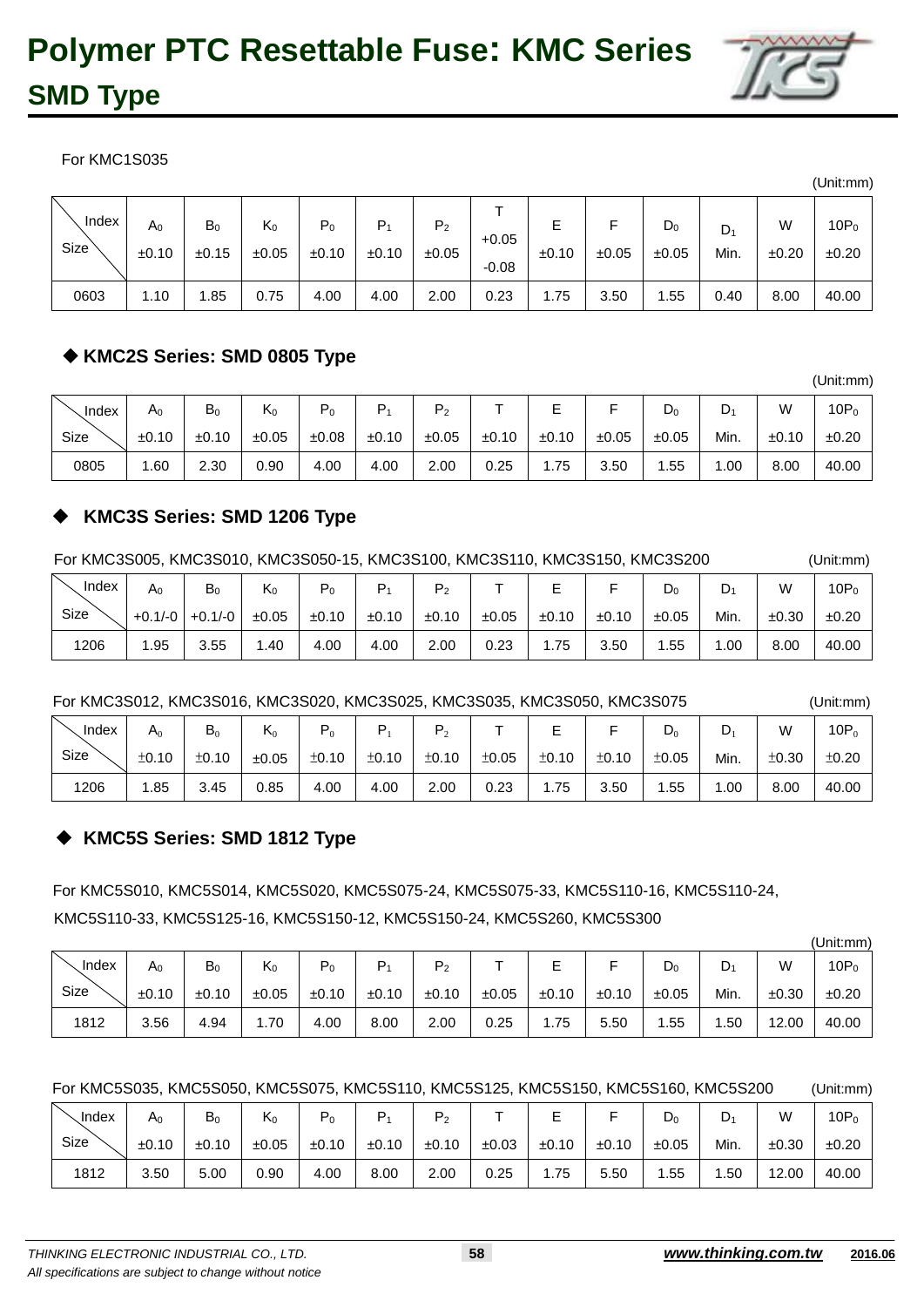For KMC1S035

| Index | $A_0$ | $B_0$ | $K_0$ | $P_0$ | Р,    | P <sub>2</sub> | $+0.05$ | Е     | ±0.05 | $\mathsf{D}_0$ | $D_1$ | W     | $10P_0$ |
|-------|-------|-------|-------|-------|-------|----------------|---------|-------|-------|----------------|-------|-------|---------|
| Size  | ±0.10 | ±0.15 | ±0.05 | ±0.10 | ±0.10 | ±0.05          | $-0.08$ | ±0.10 |       | ±0.05          | Min.  | ±0.20 | ±0.20   |
| 0603  | 1.10  | .85   | 0.75  | 4.00  | 4.00  | 2.00           | 0.23    | 1.75  | 3.50  | l.55           | 0.40  | 8.00  | 40.00   |

### **KMC2S Series: SMD 0805 Type**

| Index | A <sub>0</sub> | $\mathsf{B}_0$ | $K_0$ | D<br>$P_0$ | D     | P <sub>2</sub> |       |       |       | $\mathsf{D}_0$ | $\mathsf{D}_1$ | W     | $10P_0$ |
|-------|----------------|----------------|-------|------------|-------|----------------|-------|-------|-------|----------------|----------------|-------|---------|
| Size  | ±0.10          | ±0.10          | ±0.05 | ±0.08      | ±0.10 | ±0.05          | ±0.10 | ±0.10 | ±0.05 | ±0.05          | Min.           | ±0.10 | ±0.20   |
| 0805  | .60            | 2.30           | 0.90  | 4.00       | 4.00  | 2.00           | 0.25  | 1.75  | 3.50  | .55            | 0.00           | 8.00  | 40.00   |

### **KMC3S Series: SMD 1206 Type**

For KMC3S005, KMC3S010, KMC3S050-15, KMC3S100, KMC3S110, KMC3S150, KMC3S200 (Unit:mm)

| Index | A0  | B <sub>0</sub>    | $K_0$ | P <sub>0</sub> | D     | P <sub>2</sub> |       | –     |       | $D_0$ | D.   | W     | $10P_0$ |
|-------|-----|-------------------|-------|----------------|-------|----------------|-------|-------|-------|-------|------|-------|---------|
| Size  |     | $+0.1/-0$ +0.1/-0 | ±0.05 | ±0.10          | ±0.10 | ±0.10          | ±0.05 | ±0.10 | ±0.10 | ±0.05 | Min. | ±0.30 | ±0.20   |
| 1206  | .95 | 3.55              | .40،  | 4.00           | 4.00  | 2.00           | 0.23  | . 75  | 3.50  | .55   | .00. | 8.00  | 40.00   |

For KMC3S012, KMC3S016, KMC3S020, KMC3S025, KMC3S035, KMC3S050, KMC3S075 (Unit:mm)

| Index | $A_0$ | $B_0$ | $\mathsf{K}_0$ |       |       |       |       | -     |       | $D_0$ | ◡     | W     | 10P <sub>6</sub> |
|-------|-------|-------|----------------|-------|-------|-------|-------|-------|-------|-------|-------|-------|------------------|
| Size  | ±0.10 | ±0.10 | ±0.05          | ±0.10 | ±0.10 | ±0.10 | ±0.05 | ±0.10 | ±0.10 | ±0.05 | Min.  | ±0.30 | ±0.20            |
| 1206  | l.85  | 3.45  | 0.85           | 4.00  | 4.00  | 2.00  | 0.23  | . .75 | 3.50  | .55   | . .00 | 8.00  | 40.00            |

### **KMC5S Series: SMD 1812 Type**

For KMC5S010, KMC5S014, KMC5S020, KMC5S075-24, KMC5S075-33, KMC5S110-16, KMC5S110-24, KMC5S110-33, KMC5S125-16, KMC5S150-12, KMC5S150-24, KMC5S260, KMC5S300

|       |               |       |       |       |       |                |       |        |       |       |      |       | (Unit:mm) |
|-------|---------------|-------|-------|-------|-------|----------------|-------|--------|-------|-------|------|-------|-----------|
| Index | $\mathsf A_0$ | $B_0$ | $K_0$ | $P_0$ | $P_1$ | P <sub>2</sub> |       | F<br>┕ |       | $D_0$ | D,   | W     | $10P_0$   |
| Size  | ±0.10         | ±0.10 | ±0.05 | ±0.10 | ±0.10 | ±0.10          | ±0.05 | ±0.10  | ±0.10 | ±0.05 | Min. | ±0.30 | ±0.20     |
| 1812  | 3.56          | 4.94  | .70،  | 4.00  | 8.00  | 2.00           | 0.25  | 1.75   | 5.50  | .55   | .50  | 12.00 | 40.00     |

For KMC5S035, KMC5S050, KMC5S075, KMC5S110, KMC5S125, KMC5S150, KMC5S160, KMC5S200 (Unit:mm)

| . Index | $A_0$ | $B_0$ | $\mathsf{K}_0$ | - 0   |       | P <sub>2</sub> |       | ┕     |       | $\mathsf{D}_0$ | $D_1$ | W     | $10P_0$ |
|---------|-------|-------|----------------|-------|-------|----------------|-------|-------|-------|----------------|-------|-------|---------|
| Size    | ±0.10 | ±0.10 | ±0.05          | ±0.10 | ±0.10 | ±0.10          | ±0.03 | ±0.10 | ±0.10 | ±0.05          | Min.  | ±0.30 | ±0.20   |
| 1812    | 3.50  | 5.00  | 0.90           | 4.00  | 8.00  | 2.00           | 0.25  | 1.75  | 5.50  | .55            | .50   | 12.00 | 40.00   |



(Unit:mm)

(Unit:mm)